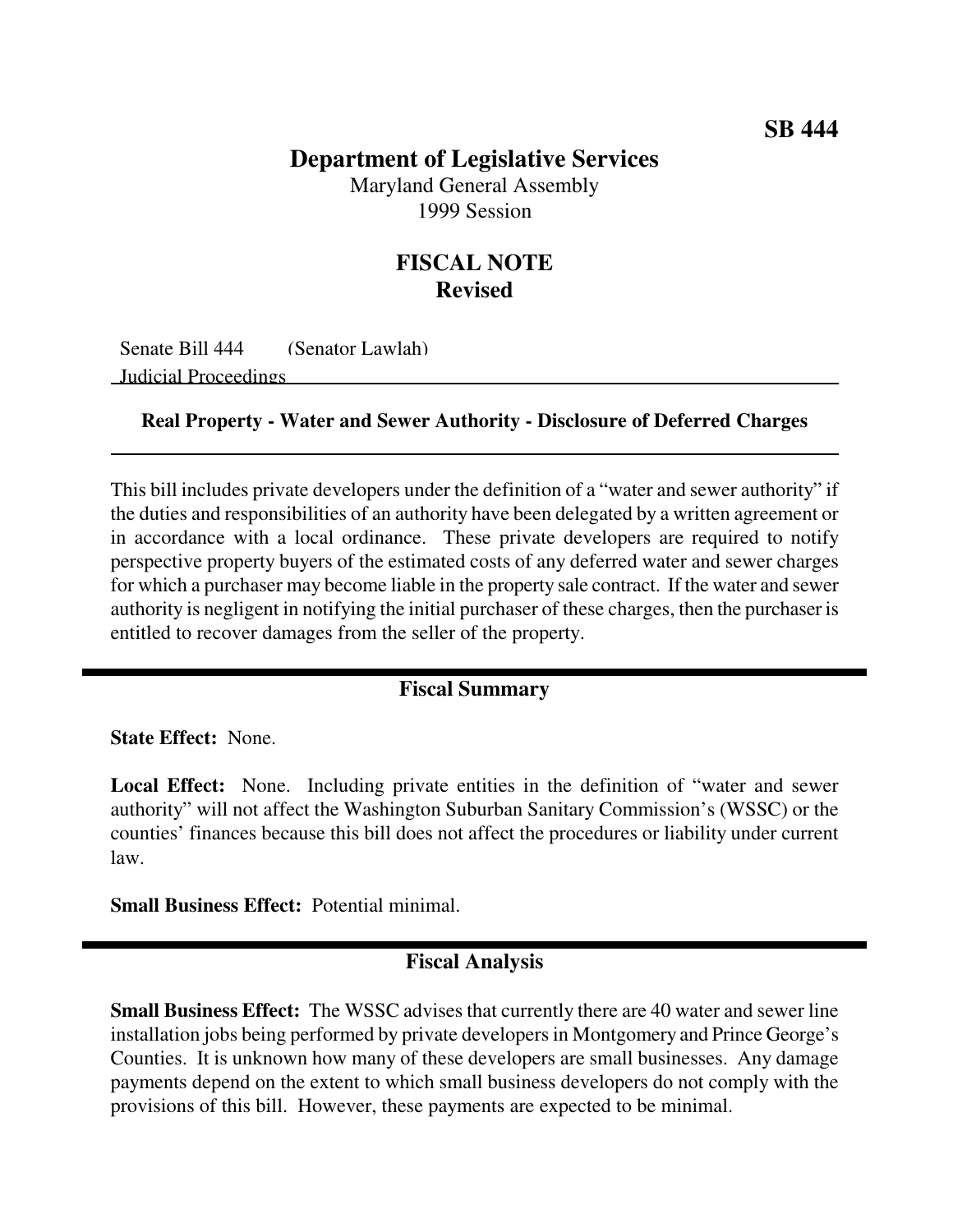## **Department of Legislative Services**

Maryland General Assembly 1999 Session

# **FISCAL NOTE Revised**

Senate Bill 444 (Senator Lawlah) Judicial Proceedings

### **Real Property - Water and Sewer Authority - Disclosure of Deferred Charges**

This bill includes private developers under the definition of a "water and sewer authority" if the duties and responsibilities of an authority have been delegated by a written agreement or in accordance with a local ordinance. These private developers are required to notify perspective property buyers of the estimated costs of any deferred water and sewer charges for which a purchaser may become liable in the property sale contract. If the water and sewer authority is negligent in notifying the initial purchaser of these charges, then the purchaser is entitled to recover damages from the seller of the property.

### **Fiscal Summary**

**State Effect:** None.

**Local Effect:** None. Including private entities in the definition of "water and sewer authority" will not affect the Washington Suburban Sanitary Commission's (WSSC) or the counties' finances because this bill does not affect the procedures or liability under current law.

**Small Business Effect:** Potential minimal.

### **Fiscal Analysis**

**Small Business Effect:** The WSSC advises that currently there are 40 water and sewer line installation jobs being performed by private developers in Montgomery and Prince George's Counties. It is unknown how many of these developers are small businesses. Any damage payments depend on the extent to which small business developers do not comply with the provisions of this bill. However, these payments are expected to be minimal.